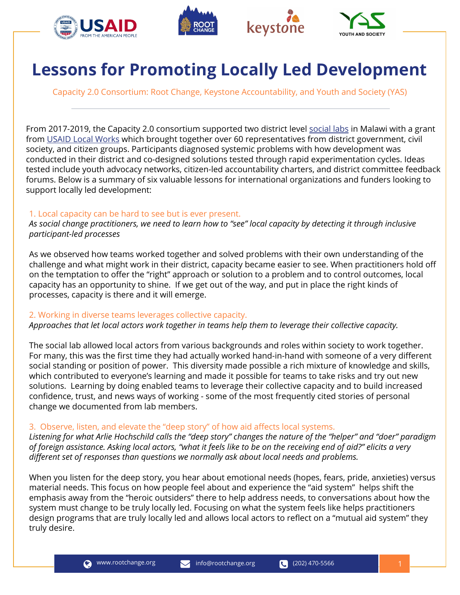







# **Lessons for Promoting Locally Led Development**

Capacity 2.0 Consortium: Root Change, Keystone Accountability, and Youth and Society (YAS)

From 2017-2019, the Capacity 2.0 consortium supported two district level [social labs](https://ssir.org/articles/entry/the_social_labs_revolution_a_new_approach_to_solving_our_most_complex_chall) in Malawi with a grant from [USAID Local Works](https://www.usaid.gov/localworks) which brought together over 60 representatives from district government, civil society, and citizen groups. Participants diagnosed systemic problems with how development was conducted in their district and co-designed solutions tested through rapid experimentation cycles. Ideas tested include youth advocacy networks, citizen-led accountability charters, and district committee feedback forums. Below is a summary of six valuable lessons for international organizations and funders looking to support locally led development:

#### 1. Local capacity can be hard to see but is ever present.

*As social change practitioners, we need to learn how to "see" local capacity by detecting it through inclusive participant-led processes* 

As we observed how teams worked together and solved problems with their own understanding of the challenge and what might work in their district, capacity became easier to see. When practitioners hold off on the temptation to offer the "right" approach or solution to a problem and to control outcomes, local capacity has an opportunity to shine. If we get out of the way, and put in place the right kinds of processes, capacity is there and it will emerge.

#### 2. Working in diverse teams leverages collective capacity.

*Approaches that let local actors work together in teams help them to leverage their collective capacity.*

The social lab allowed local actors from various backgrounds and roles within society to work together. For many, this was the first time they had actually worked hand-in-hand with someone of a very different social standing or position of power. This diversity made possible a rich mixture of knowledge and skills, which contributed to everyone's learning and made it possible for teams to take risks and try out new solutions. Learning by doing enabled teams to leverage their collective capacity and to build increased confidence, trust, and news ways of working - some of the most frequently cited stories of personal change we documented from lab members.

#### 3. Observe, listen, and elevate the "deep story" of how aid affects local systems.

*Listening for what Arlie Hochschild calls the "deep story" changes the nature of the "helper" and "doer" paradigm of foreign assistance. Asking local actors, "what it feels like to be on the receiving end of aid?" elicits a very different set of responses than questions we normally ask about local needs and problems.*

When you listen for the deep story, you hear about emotional needs (hopes, fears, pride, anxieties) versus material needs. This focus on how people feel about and experience the "aid system" helps shift the emphasis away from the "heroic outsiders" there to help address needs, to conversations about how the system must change to be truly locally led. Focusing on what the system feels like helps practitioners design programs that are truly locally led and allows local actors to reflect on a "mutual aid system" they truly desire.